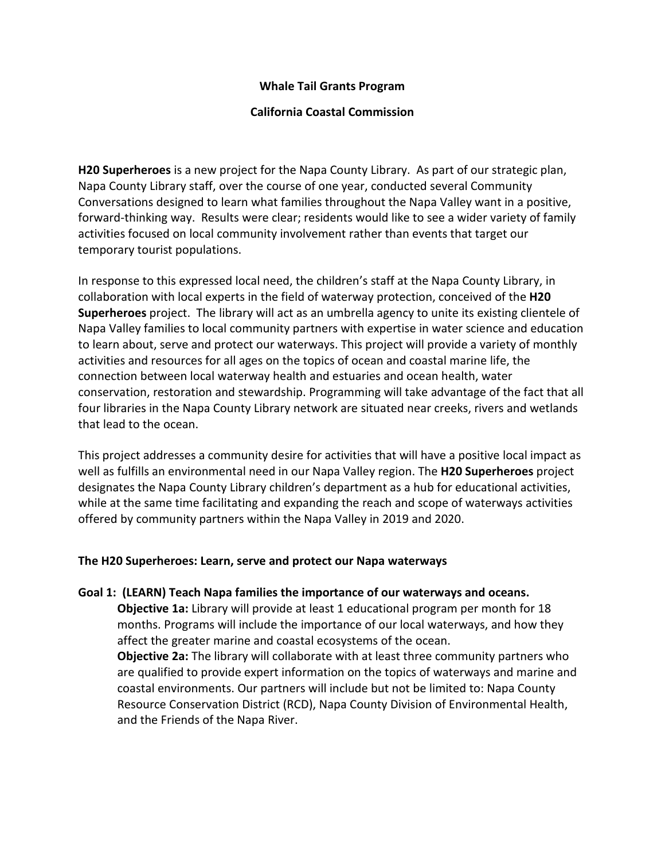## **Whale Tail Grants Program**

## **California Coastal Commission**

**H20 Superheroes** is a new project for the Napa County Library. As part of our strategic plan, Napa County Library staff, over the course of one year, conducted several Community Conversations designed to learn what families throughout the Napa Valley want in a positive, forward-thinking way. Results were clear; residents would like to see a wider variety of family activities focused on local community involvement rather than events that target our temporary tourist populations.

In response to this expressed local need, the children's staff at the Napa County Library, in collaboration with local experts in the field of waterway protection, conceived of the **H20 Superheroes** project. The library will act as an umbrella agency to unite its existing clientele of Napa Valley families to local community partners with expertise in water science and education to learn about, serve and protect our waterways. This project will provide a variety of monthly activities and resources for all ages on the topics of ocean and coastal marine life, the connection between local waterway health and estuaries and ocean health, water conservation, restoration and stewardship. Programming will take advantage of the fact that all four libraries in the Napa County Library network are situated near creeks, rivers and wetlands that lead to the ocean.

This project addresses a community desire for activities that will have a positive local impact as well as fulfills an environmental need in our Napa Valley region. The **H20 Superheroes** project designates the Napa County Library children's department as a hub for educational activities, while at the same time facilitating and expanding the reach and scope of waterways activities offered by community partners within the Napa Valley in 2019 and 2020.

## **The H20 Superheroes: Learn, serve and protect our Napa waterways**

#### **Goal 1: (LEARN) Teach Napa families the importance of our waterways and oceans.**

**Objective 1a:** Library will provide at least 1 educational program per month for 18 months. Programs will include the importance of our local waterways, and how they affect the greater marine and coastal ecosystems of the ocean.

**Objective 2a:** The library will collaborate with at least three community partners who are qualified to provide expert information on the topics of waterways and marine and coastal environments. Our partners will include but not be limited to: Napa County Resource Conservation District (RCD), Napa County Division of Environmental Health, and the Friends of the Napa River.